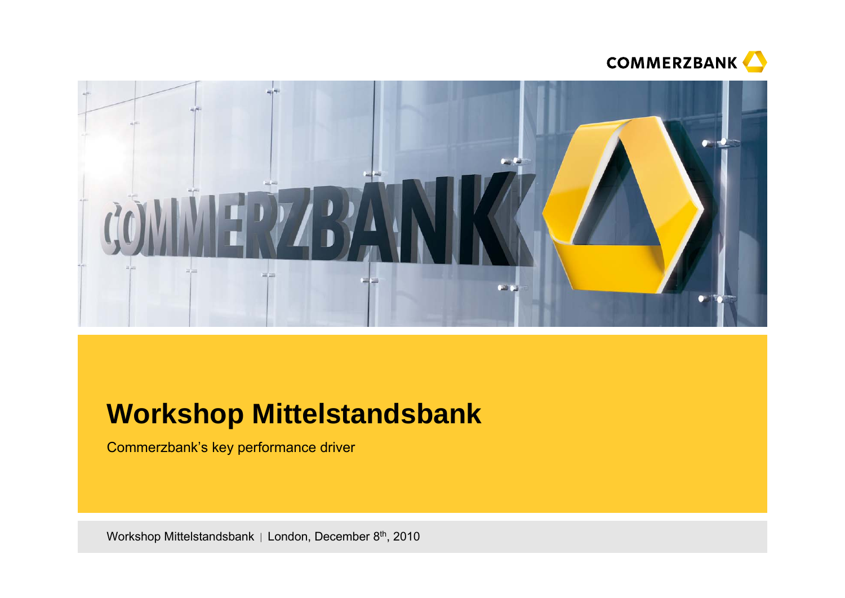



# **Workshop Mittelstandsbank**

Commerzbank's key performance driver

Workshop Mittelstandsbank | London, December 8<sup>th</sup>, 2010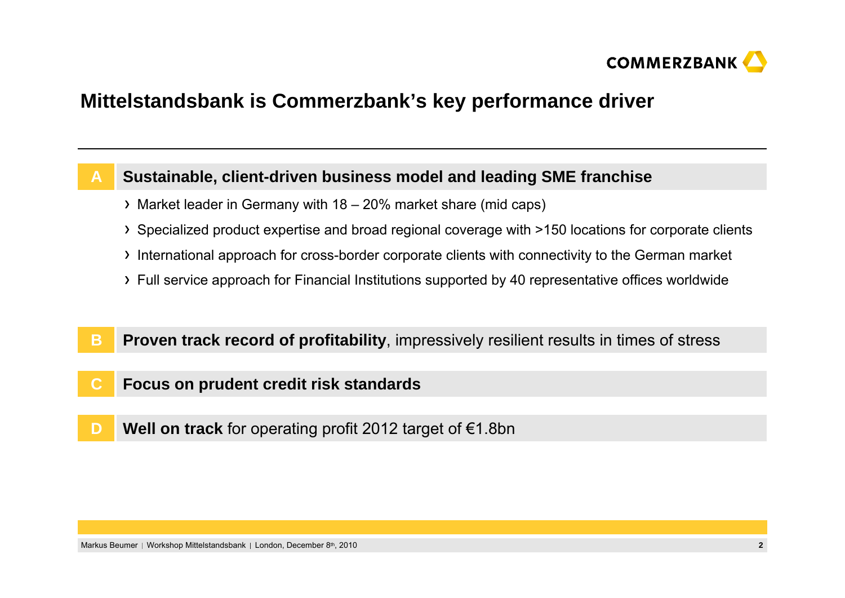

### **Mittelstandsbank is Commerzbank's key performance driver**

#### **Sustainable, client-driven business model and leading SME franchise A**

- Market leader in Germany with 18 20% market share (mid caps)
- Specialized product expertise and broad regional coverage with >150 locations for corporate clients
- International approach for cross-border corporate clients with connectivity to the German market
- Full service approach for Financial Institutions supported by 40 representative offices worldwide
- **Proven track record of profitability**, impressively resilient results in times of stress **B**
- **Focus on prudent credit risk standards C**
- **DWell on track** for operating profit 2012 target of €1.8bn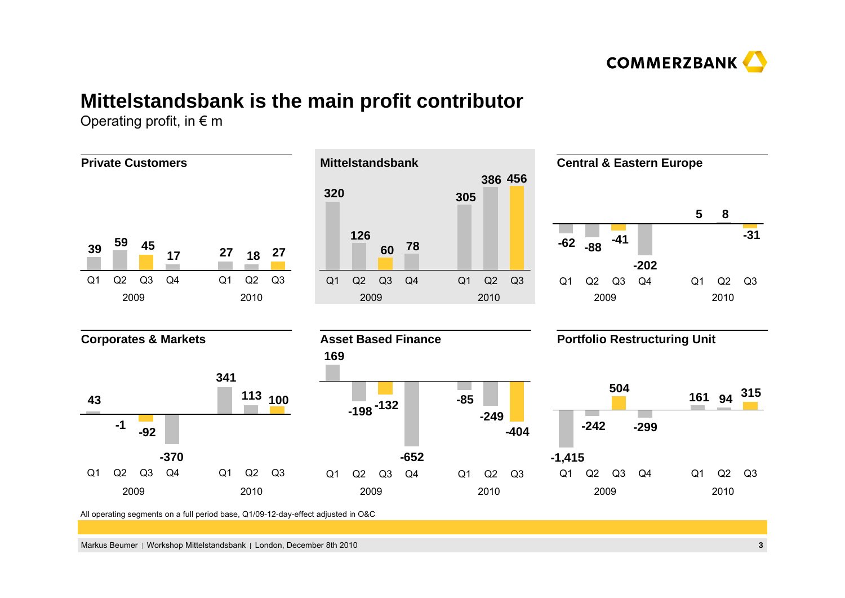

## **Mittelstandsbank is the main profit contributor**

Operating profit, in  $\epsilon$  m

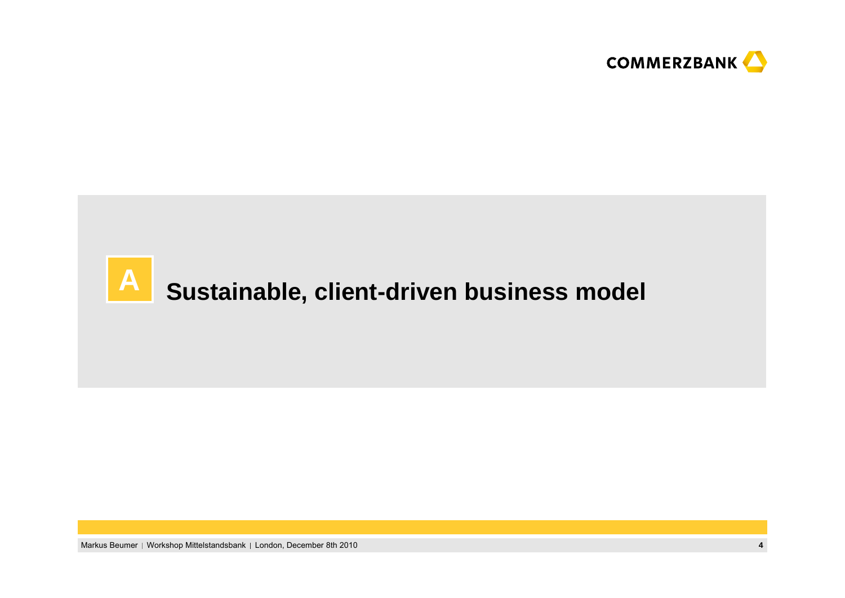

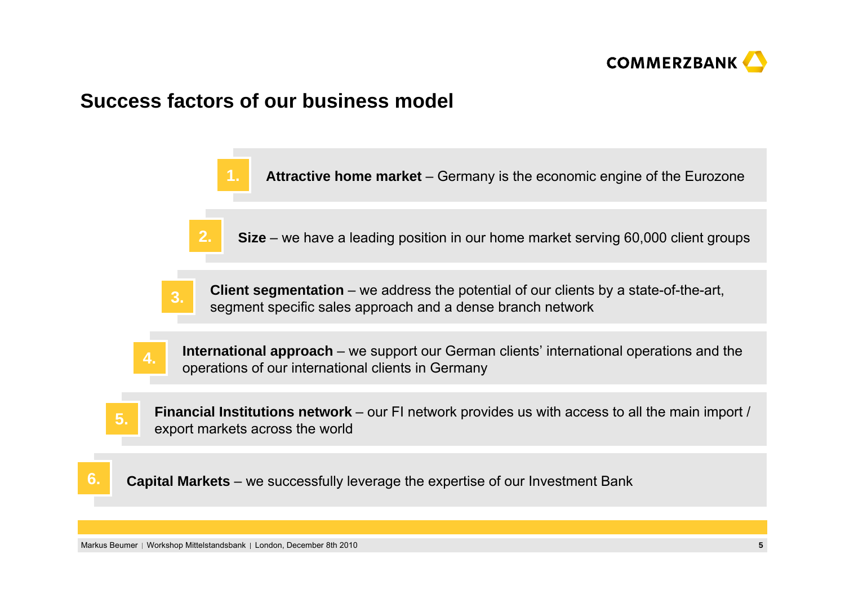

### **Success factors of our business model**



Markus Beumer | Workshop Mittelstandsbank | London, December 8th 2010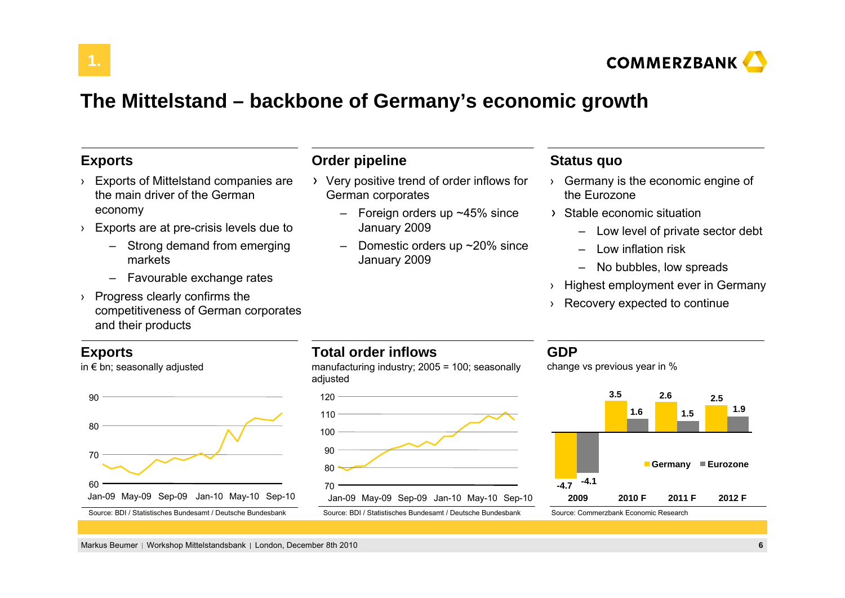

### **The Mittelstand – backbone of Germany's economic growth**

### **Exports**

**1.**

- › Exports of Mittelstand companies are the main driver of the German economy
- › Exports are at pre-crisis levels due to
	- Strong demand from emerging markets
	- Favourable exchange rates
- › Progress clearly confirms the competitiveness of German corporates and their products

### **Exports**

in € bn; seasonally adjusted



### **Order pipeline**

- Very positive trend of order inflows for German corporates
	- Foreign orders up ~45% since January 2009
	- Domestic orders up ~20% since January 2009

### **Status quo**

- › Germany is the economic engine of the Eurozone
- Stable economic situation
	- Low level of private sector debt
	- Low inflation risk
	- –No bubbles, low spreads
- › Highest employment ever in Germany
- › Recovery expected to continue

### **Total order inflows**

manufacturing industry; 2005 = 100; seasonally adjusted



### **GDP**

change vs previous year in %



Markus Beumer | Workshop Mittelstandsbank | London, December 8th 2010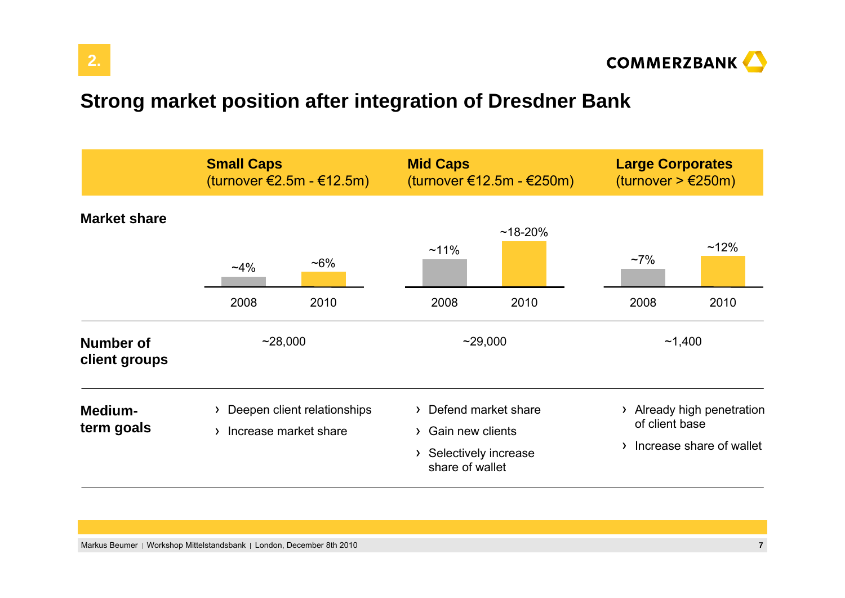

# **Strong market position after integration of Dresdner Bank**

|                                   | <b>Small Caps</b>                                        | (turnover €2.5m - €12.5m) | <b>Mid Caps</b>                                                                          | (turnover €12.5m - €250m) | <b>Large Corporates</b><br>(turnover $> \text{\textsterling}250m$ ) |                                                      |
|-----------------------------------|----------------------------------------------------------|---------------------------|------------------------------------------------------------------------------------------|---------------------------|---------------------------------------------------------------------|------------------------------------------------------|
| <b>Market share</b>               | $~14\%$<br>2008                                          | $~16\%$<br>2010           | $~11\%$<br>2008                                                                          | $~18 - 20%$<br>2010       | $~17\%$<br>2008                                                     | $~12\%$<br>2010                                      |
| <b>Number of</b><br>client groups | ~28,000                                                  |                           | ~29,000                                                                                  |                           | ~1,400                                                              |                                                      |
| Medium-<br>term goals             | > Deepen client relationships<br>> Increase market share |                           | > Defend market share<br>> Gain new clients<br>> Selectively increase<br>share of wallet |                           | $\sum$<br>of client base<br>$\mathcal{F}$                           | Already high penetration<br>Increase share of wallet |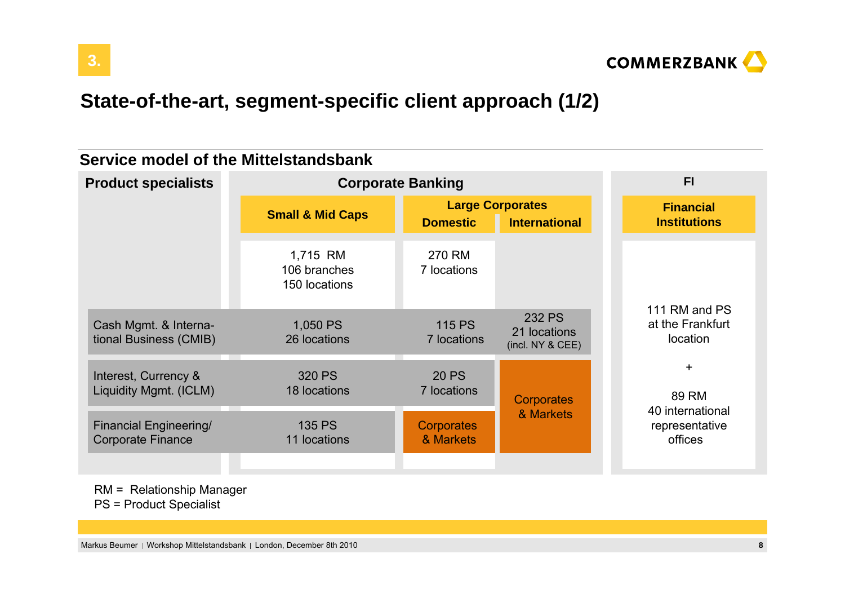

# **State-of-the-art, segment-specific client approach (1/2)**

### **Service model of the Mittelstandsbank**

| <b>Product specialists</b>                                | <b>Corporate Banking</b>                  |                                |                                                   | F1                                            |  |
|-----------------------------------------------------------|-------------------------------------------|--------------------------------|---------------------------------------------------|-----------------------------------------------|--|
|                                                           | <b>Small &amp; Mid Caps</b>               | <b>Domestic</b>                | <b>Large Corporates</b><br><b>International</b>   | <b>Financial</b><br><b>Institutions</b>       |  |
|                                                           | 1,715 RM<br>106 branches<br>150 locations | 270 RM<br>7 locations          |                                                   |                                               |  |
| Cash Mgmt. & Interna-<br>tional Business (CMIB)           | 1,050 PS<br>26 locations                  | <b>115 PS</b><br>7 locations   | <b>232 PS</b><br>21 locations<br>(incl. NY & CEE) | 111 RM and PS<br>at the Frankfurt<br>location |  |
| Interest, Currency &<br>Liquidity Mgmt. (ICLM)            | 320 PS<br>18 locations                    | <b>20 PS</b><br>7 locations    | <b>Corporates</b>                                 | $\ddot{}$<br>89 RM                            |  |
| <b>Financial Engineering/</b><br><b>Corporate Finance</b> | <b>135 PS</b><br>11 locations             | <b>Corporates</b><br>& Markets | & Markets                                         | 40 international<br>representative<br>offices |  |

RM = Relationship Manager

PS = Product Specialist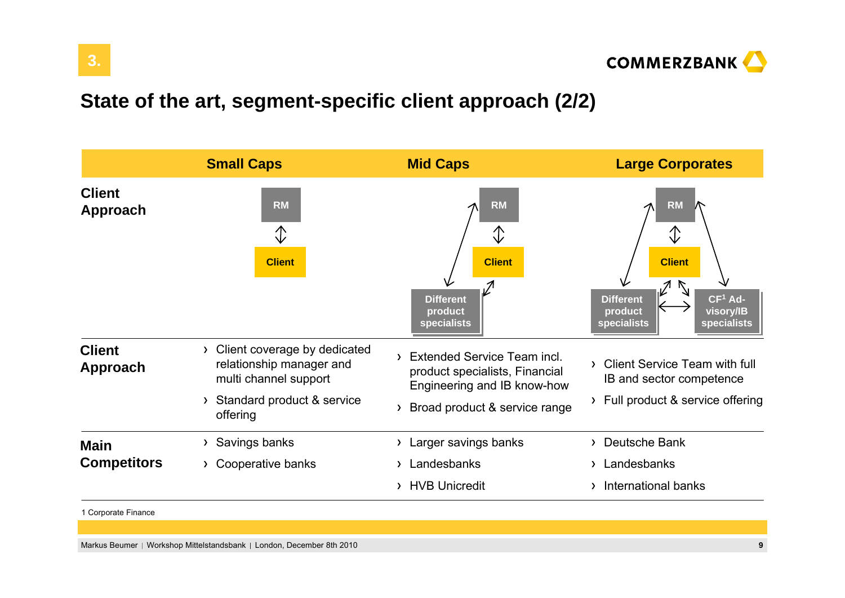

# **State of the art, segment-specific client approach (2/2)**



1 Corporate Finance

Markus Beumer | Workshop Mittelstandsbank | London, December 8th 2010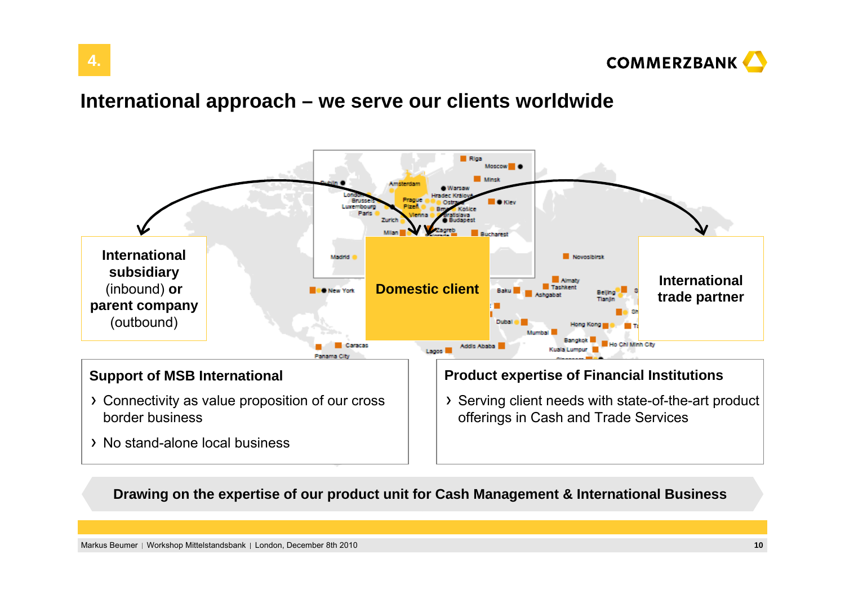

### **International approach – we serve our clients worldwide**



**Drawing on the expertise of our product unit for Cash Management & International Business**

Markus Beumer | Workshop Mittelstandsbank | London, December 8th 2010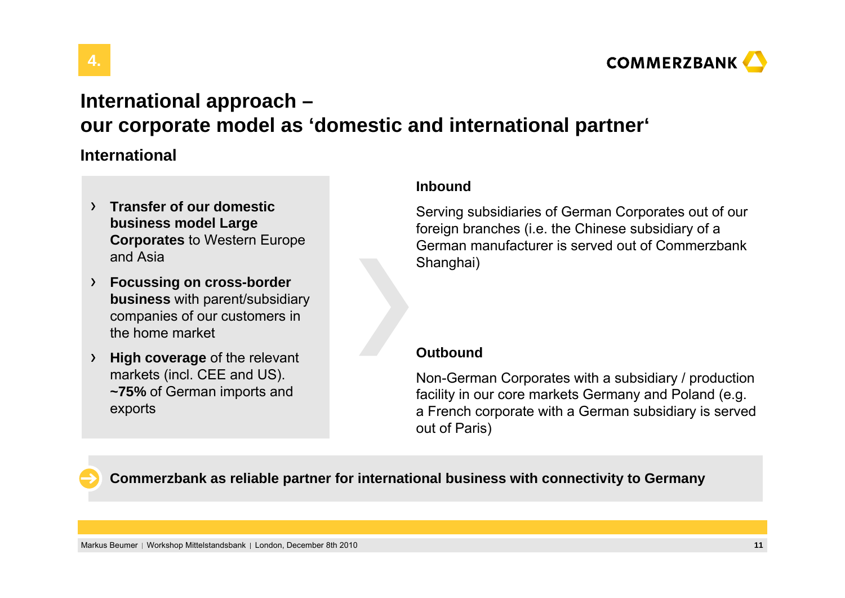

## **International approach – our corporate model as 'domestic and international partner'**

### **International**

**4.**

- **Transfer of our domestic business model Large Corporates** to Western Europe and Asia
- **Focussing on cross-border business** with parent/subsidiary companies of our customers in the home market
- **High coverage** of the relevant markets (incl. CEE and US). **~75%** of German imports and exports

### **Inbound**

Serving subsidiaries of German Corporates out of our foreign branches (i.e. the Chinese subsidiary of a German manufacturer is served out of Commerzbank Shanghai)

### **Outbound**

Non-German Corporates with a subsidiary / production facility in our core markets Germany and Poland (e.g. a French corporate with a German subsidiary is served out of Paris)

**Commerzbank as reliable partner for international business with connectivity to Germany**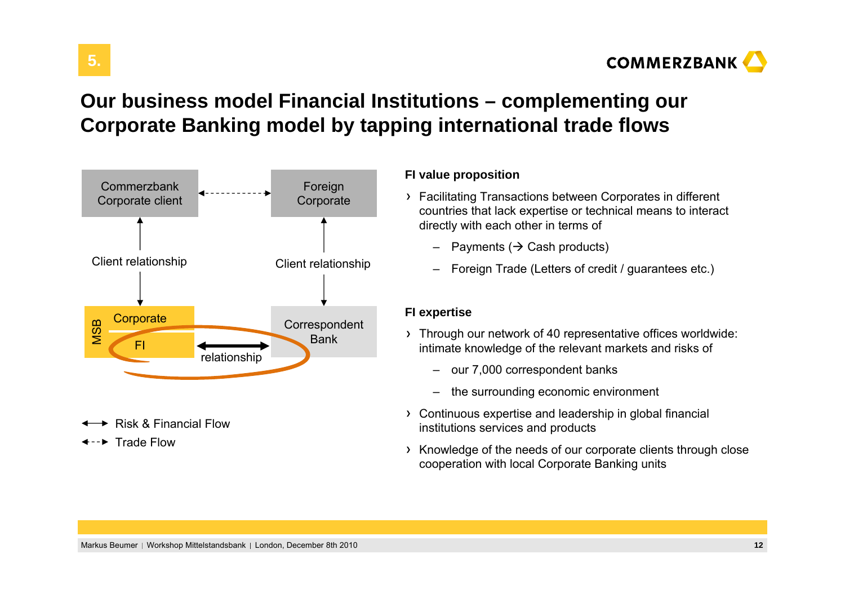

# **Our business model Financial Institutions – complementing our Corporate Banking model by tapping international trade flows**



 $\rightarrow$  Risk & Financial Flow

Trade Flow

**5.**

### **FI value proposition**

- Facilitating Transactions between Corporates in different countries that lack expertise or technical means to interact directly with each other in terms of
	- $-$  Payments ( $\rightarrow$  Cash products)
	- Foreign Trade (Letters of credit / guarantees etc.)

### **FI expertise**

- Through our network of 40 representative offices worldwide: intimate knowledge of the relevant markets and risks of
	- our 7,000 correspondent banks
	- the surrounding economic environment
- Continuous expertise and leadership in global financial institutions services and products
- $\rightarrow$  Knowledge of the needs of our corporate clients through close cooperation with local Corporate Banking units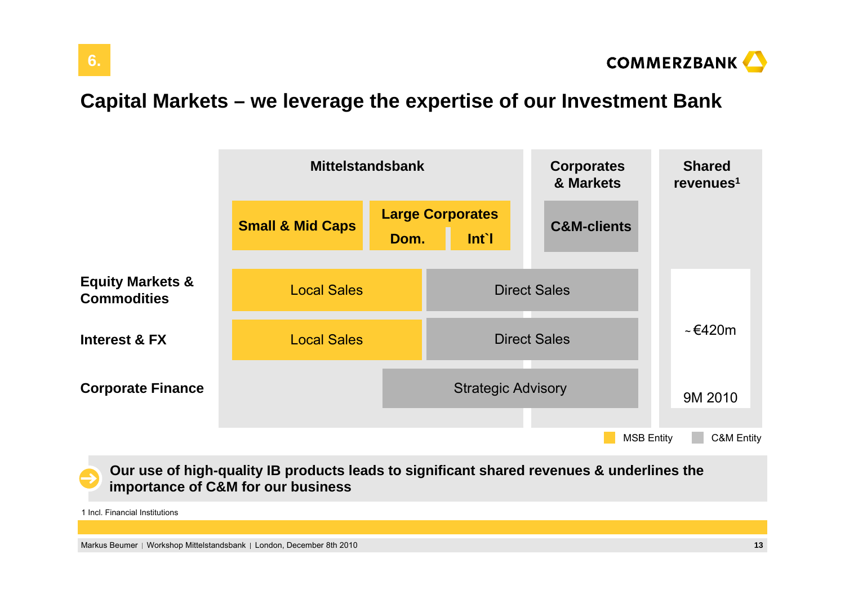

# **Capital Markets – we leverage the expertise of our Investment Bank**



**Our use of high-quality IB products leads to significant shared revenues & underlines the importance of C&M for our business**

1 Incl. Financial Institutions

Markus Beumer | Workshop Mittelstandsbank | London, December 8th 2010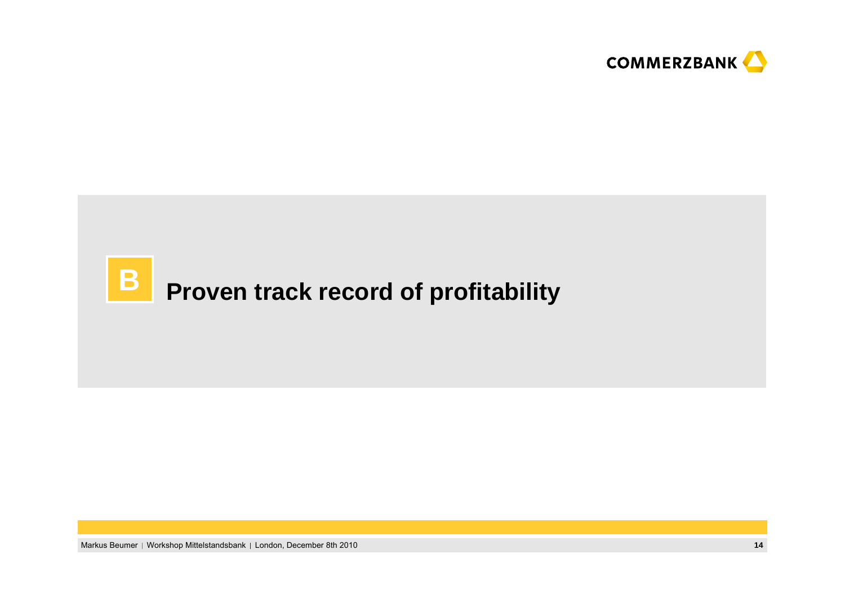

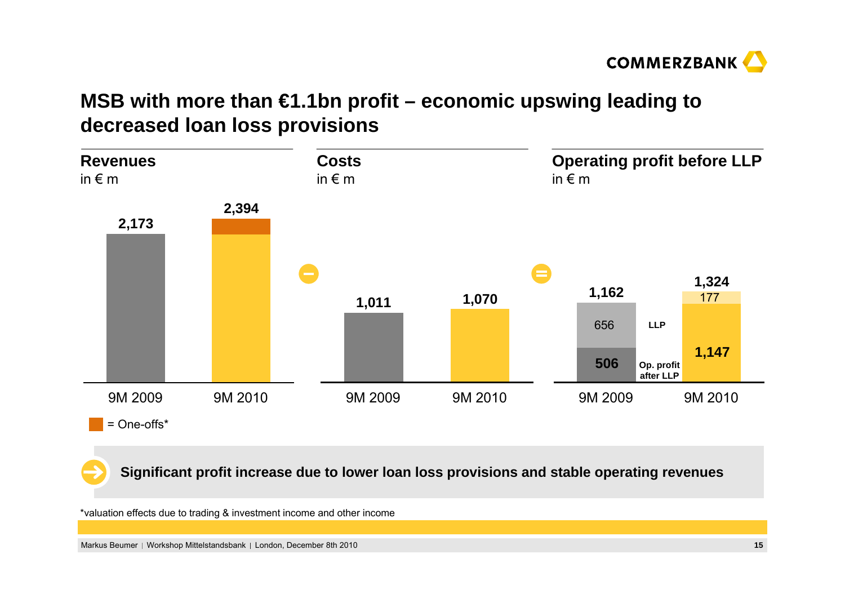

# **MSB with more than €1.1bn profit – economic upswing leading to decreased loan loss provisions**



**Significant profit increase due to lower loan loss provisions and stable operating revenues**

\*valuation effects due to trading & investment income and other income

Markus Beumer | Workshop Mittelstandsbank | London, December 8th 2010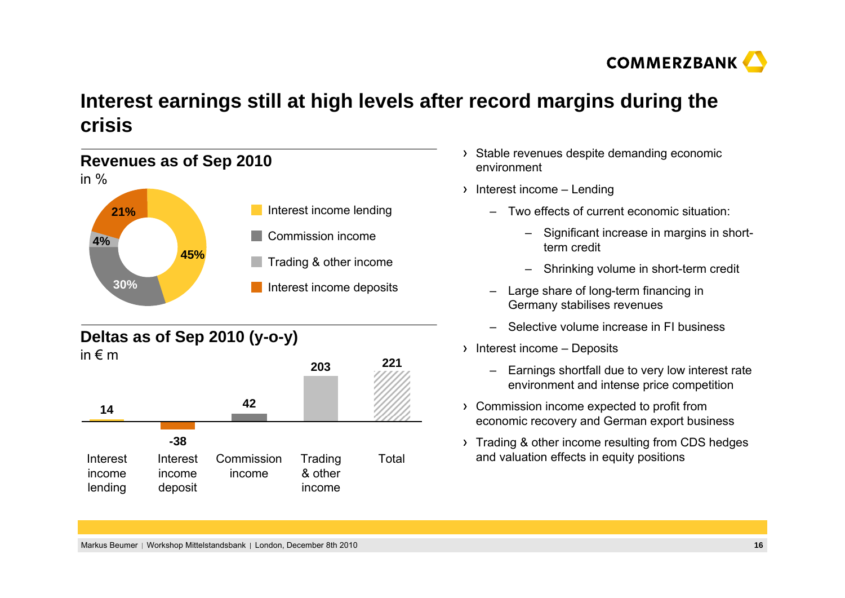

# **Interest earnings still at high levels after record margins during the crisis**

### Interest income lending Interest income deposits Commission incomeTrading & other income **Revenues as of Sep 2010** in %**21%4%30%45%**

### **Deltas as of Sep 2010 (y-o-y)**



- > Stable revenues despite demanding economic environment
- $\rightarrow$  Interest income Lending
	- Two effects of current economic situation:
		- – Significant increase in margins in shortterm credit
		- –Shrinking volume in short-term credit
	- – Large share of long-term financing in Germany stabilises revenues
	- –Selective volume increase in FI business
- $\rightarrow$  Interest income Deposits
	- – Earnings shortfall due to very low interest rate environment and intense price competition
- Commission income expected to profit from economic recovery and German export business
- > Trading & other income resulting from CDS hedges Trading Total and valuation effects in equity positions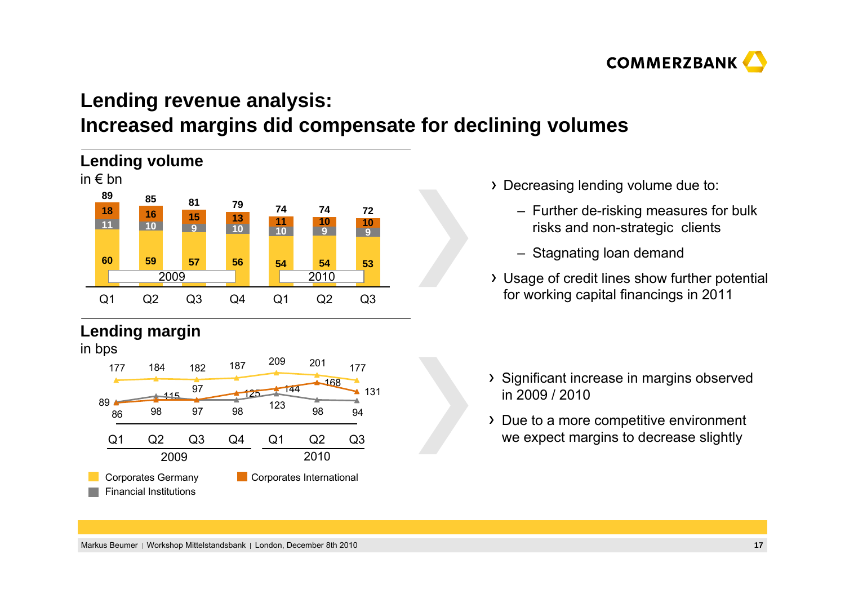

# **Lending revenue analysis: Increased margins did compensate for declining volumes**



### **Lending margin**

in bps



- Decreasing lending volume due to:
	- Further de-risking measures for bulk risks and non-strategic clients
	- Stagnating loan demand
- Usage of credit lines show further potential for working capital financings in 2011

- > Significant increase in margins observed in 2009 / 2010
- Due to a more competitive environment we expect margins to decrease slightly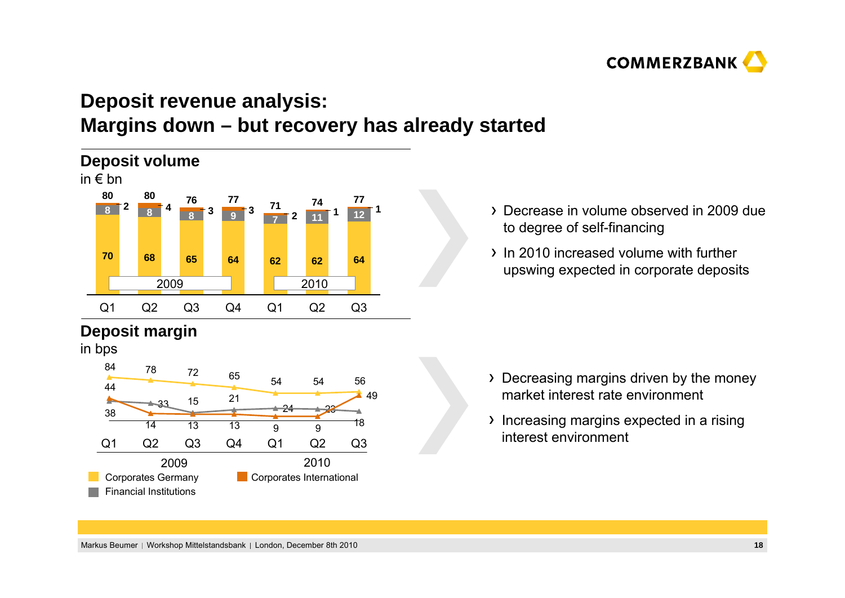

# **Deposit revenue analysis: Margins down – but recovery has already started**



### **Deposit margin**

in bps



- Decrease in volume observed in 2009 due to degree of self-financing
- In 2010 increased volume with further upswing expected in corporate deposits

- > Decreasing margins driven by the money market interest rate environment
- Increasing margins expected in a rising interest environment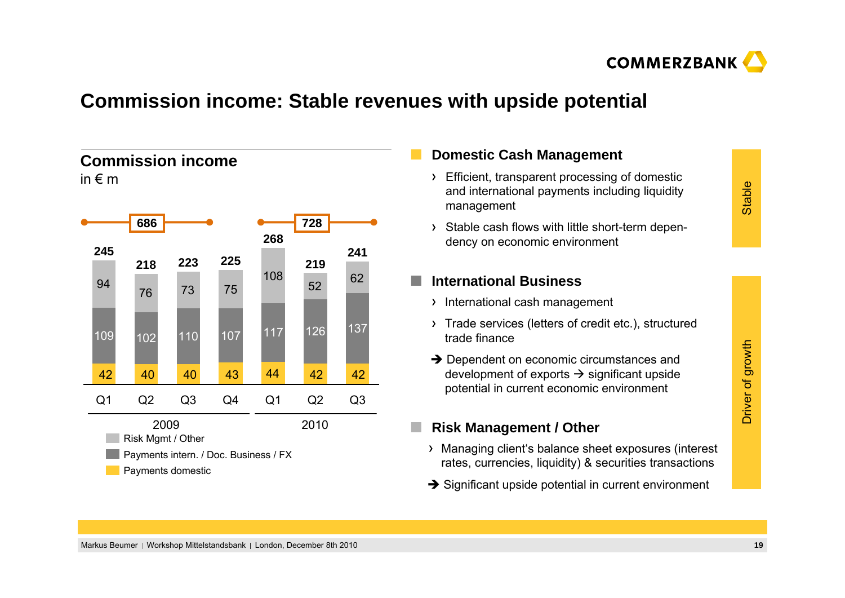

### **Commission income: Stable revenues with upside potential**

#### **268**117 Q4 Q2 Q2 **225**Q3 110 107 117 120 10 **241**Q3 **223**137110 **218 219** 1022 110 107 117 126 Q1 **245**Q1 109 2009 2010**686 728** Payments domestic Payments intern. / Doc. Business / FX Risk Mgmt / Other **Commission income**in  $\epsilon$  m 449476 <sup>73</sup> <sup>75</sup> 10852 <sup>62</sup> 4240 40 43 42 42

### **Domestic Cash Management**

- **Efficient, transparent processing of domestic** and international payments including liquidity management
- > Stable cash flows with little short-term dependency on economic environment

#### o, **International Business**

- > International cash management
- Trade services (letters of credit etc.), structured trade finance
- $\rightarrow$  Dependent on economic circumstances and development of exports  $\rightarrow$  significant upside potential in current economic environment

#### П **Risk Management / Other**

- Managing client's balance sheet exposures (interest rates, currencies, liquidity) & securities transactions
- $\rightarrow$  Significant upside potential in current environment

# Stable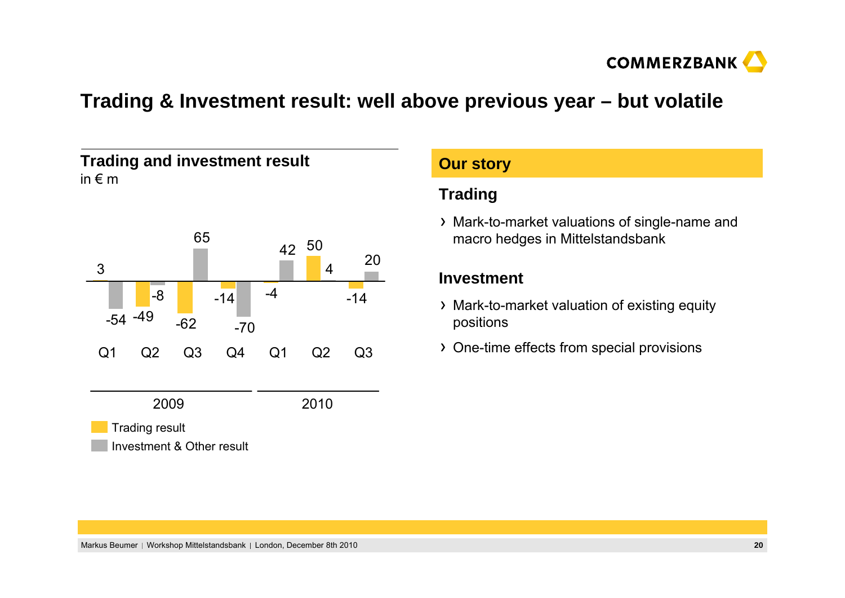

### **Trading & Investment result: well above previous year – but volatile**

**Our story**



| <b>Our story</b>                                                                   |  |  |  |  |
|------------------------------------------------------------------------------------|--|--|--|--|
| <b>Trading</b>                                                                     |  |  |  |  |
| > Mark-to-market valuations of single-name and<br>macro hedges in Mittelstandsbank |  |  |  |  |
| Investment                                                                         |  |  |  |  |
| > Mark-to-market valuation of existing equity<br>positions                         |  |  |  |  |
| > One-time effects from special provisions                                         |  |  |  |  |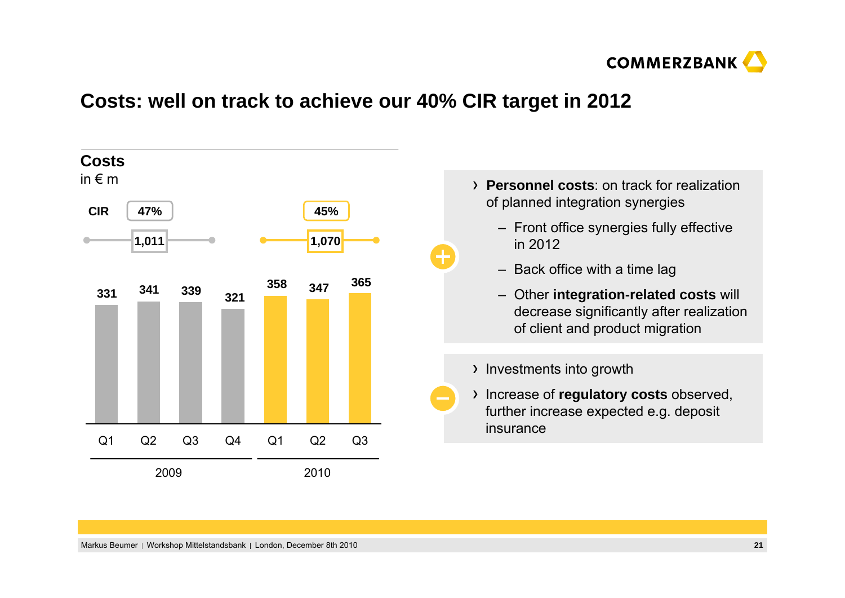

### **Costs: well on track to achieve our 40% CIR target in 2012**

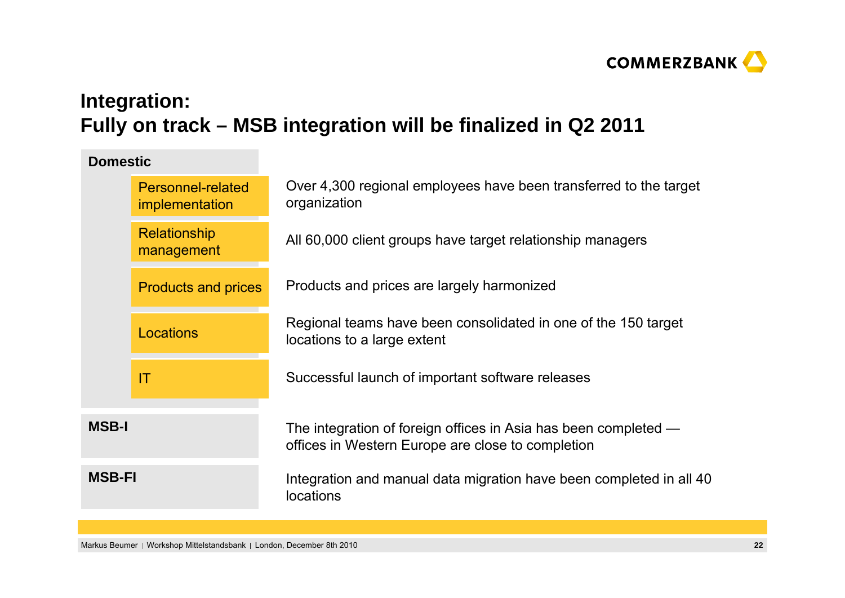

# **Integration: Fully on track – MSB integration will be finalized in Q2 2011**

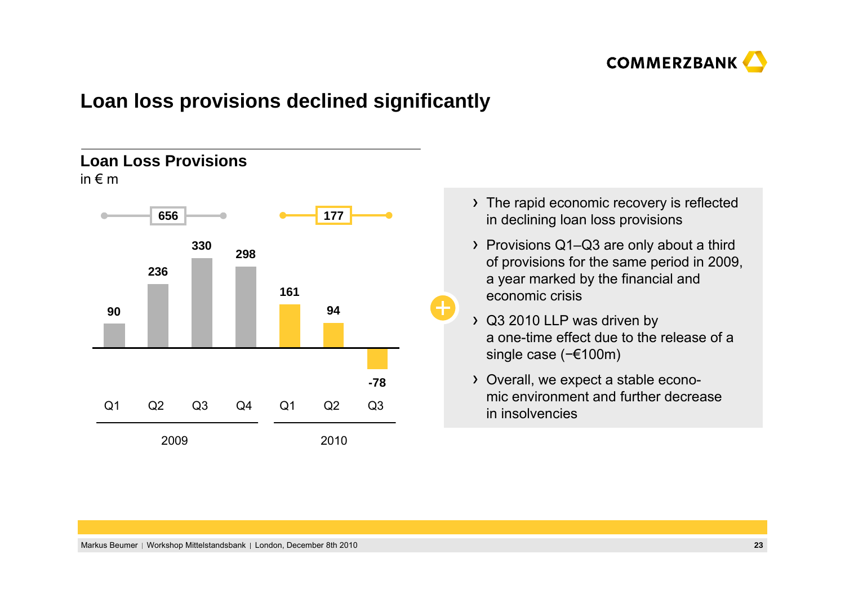

### **Loan loss provisions declined significantly**

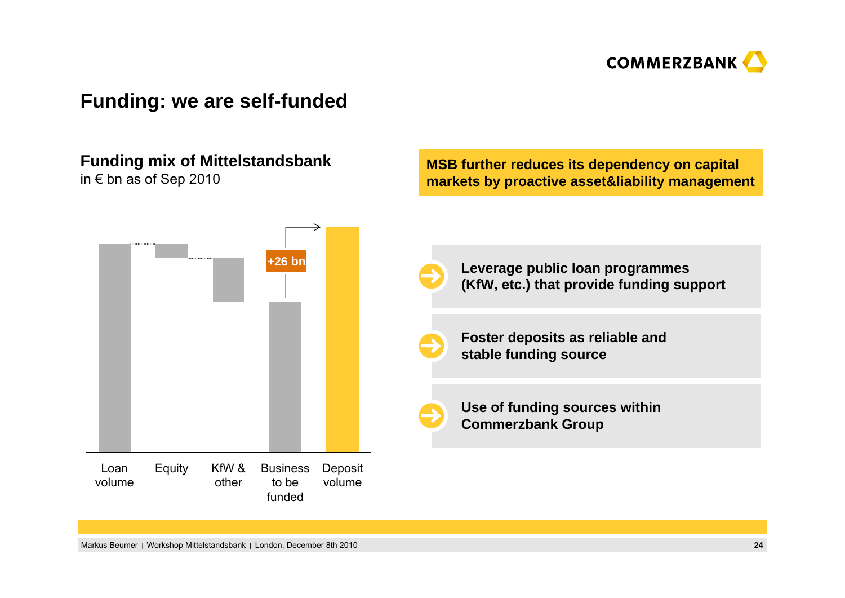

### **Funding: we are self-funded**

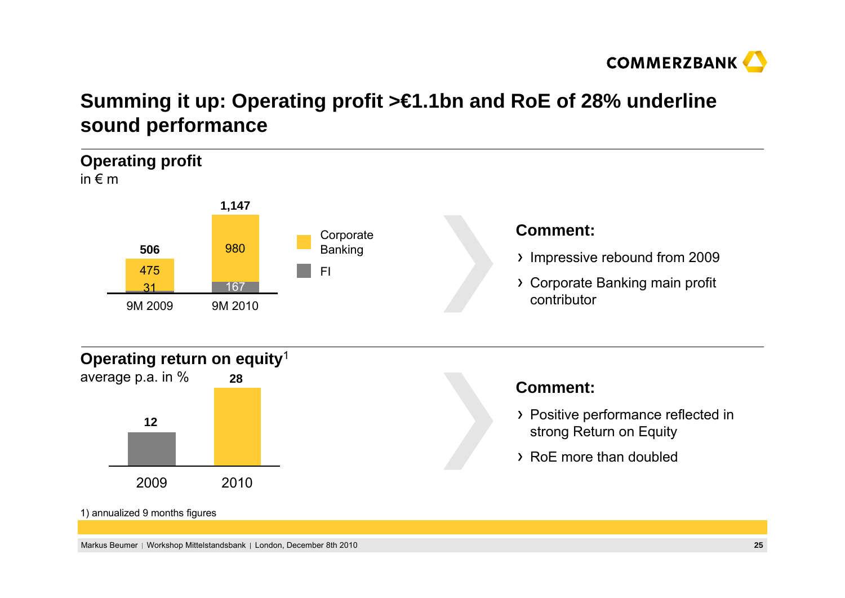

# **Summing it up: Operating profit >€1.1bn and RoE of 28% underline sound performance**

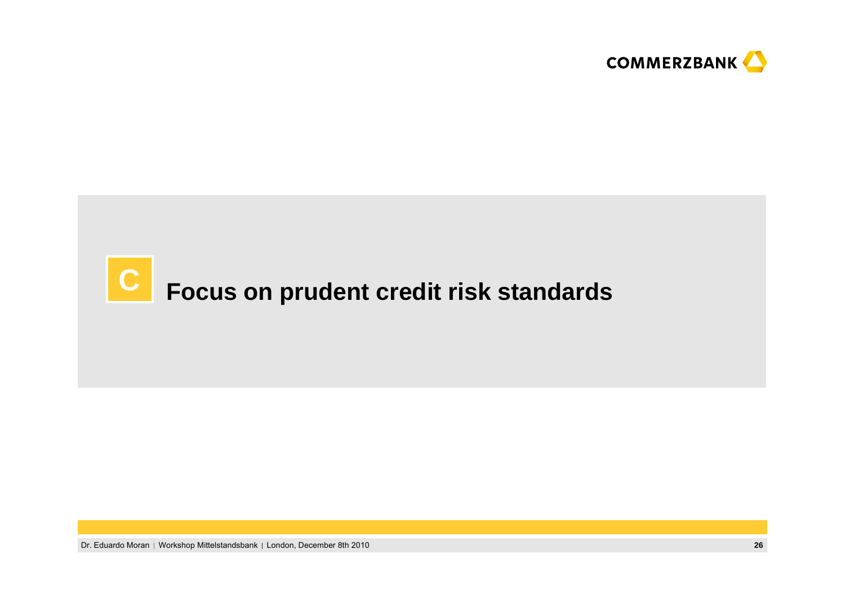

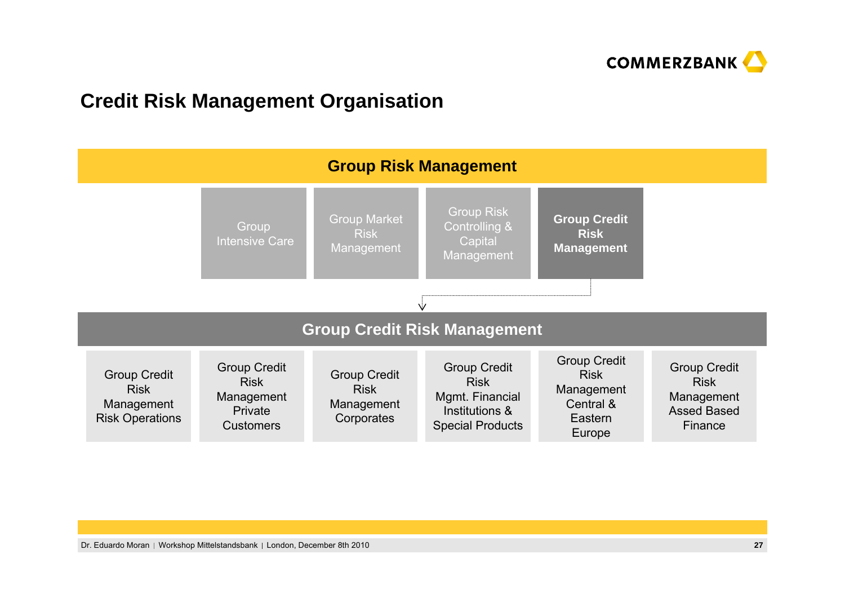

### **Credit Risk Management Organisation**

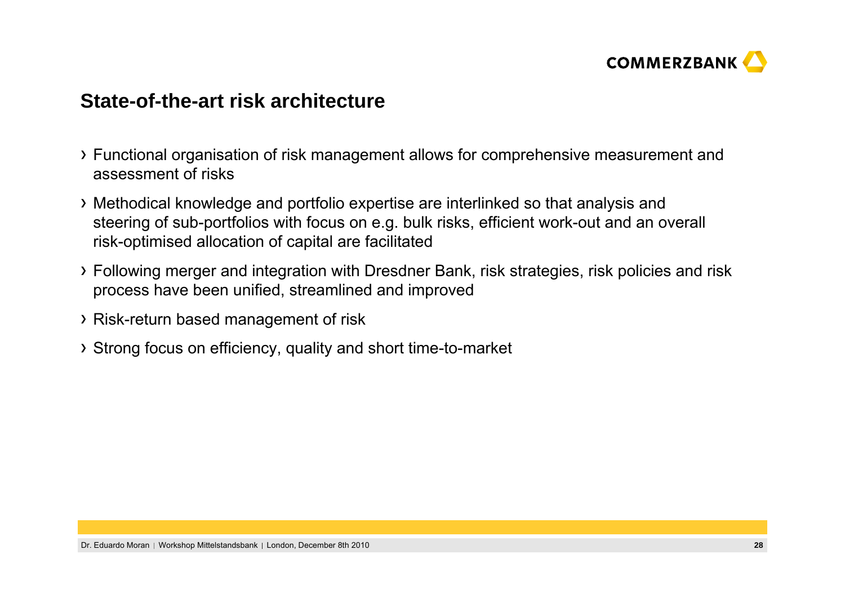

### **State-of-the-art risk architecture**

- Functional organisation of risk management allows for comprehensive measurement and assessment of risks
- Methodical knowledge and portfolio expertise are interlinked so that analysis and steering of sub-portfolios with focus on e.g. bulk risks, efficient work-out and an overall risk-optimised allocation of capital are facilitated
- Following merger and integration with Dresdner Bank, risk strategies, risk policies and risk process have been unified, streamlined and improved
- Risk-return based management of risk
- Strong focus on efficiency, quality and short time-to-market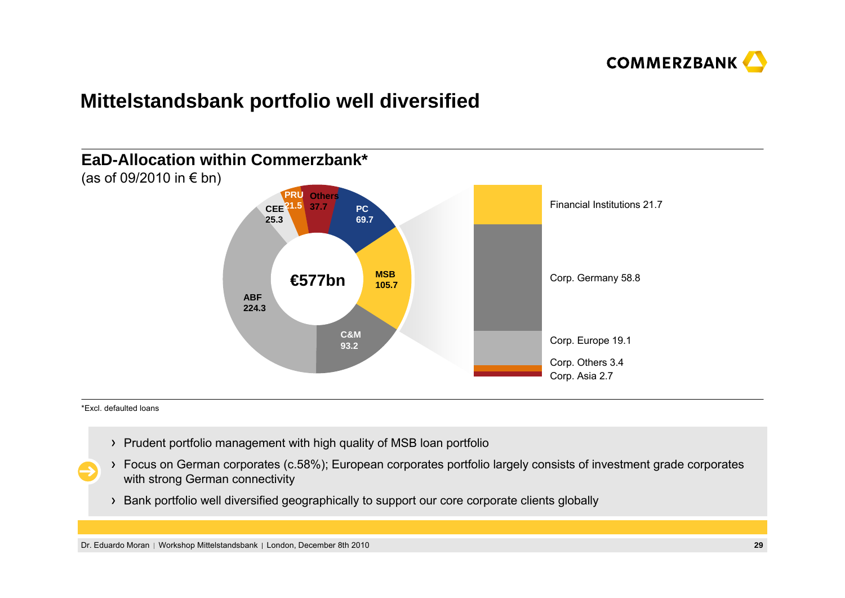

### **Mittelstandsbank portfolio well diversified**



\*Excl. defaulted loans

- Prudent portfolio management with high quality of MSB loan portfolio
- Focus on German corporates (c.58%); European corporates portfolio largely consists of investment grade corporates with strong German connectivity
- Bank portfolio well diversified geographically to support our core corporate clients globally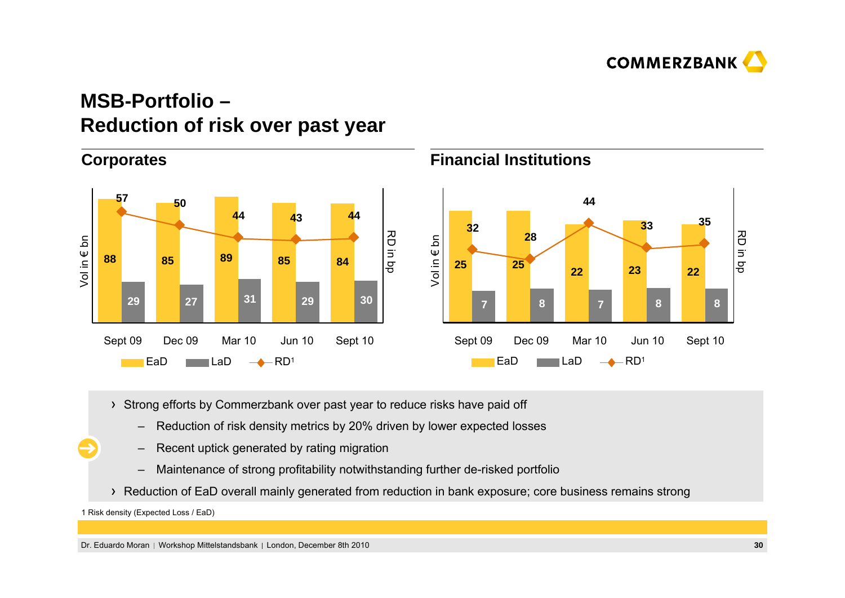

# **MSB-Portfolio –Reduction of risk over past year**



- > Strong efforts by Commerzbank over past year to reduce risks have paid off
	- –Reduction of risk density metrics by 20% driven by lower expected losses
	- –Recent uptick generated by rating migration
	- –Maintenance of strong profitability notwithstanding further de-risked portfolio
- Reduction of EaD overall mainly generated from reduction in bank exposure; core business remains strong

<sup>1</sup> Risk density (Expected Loss / EaD)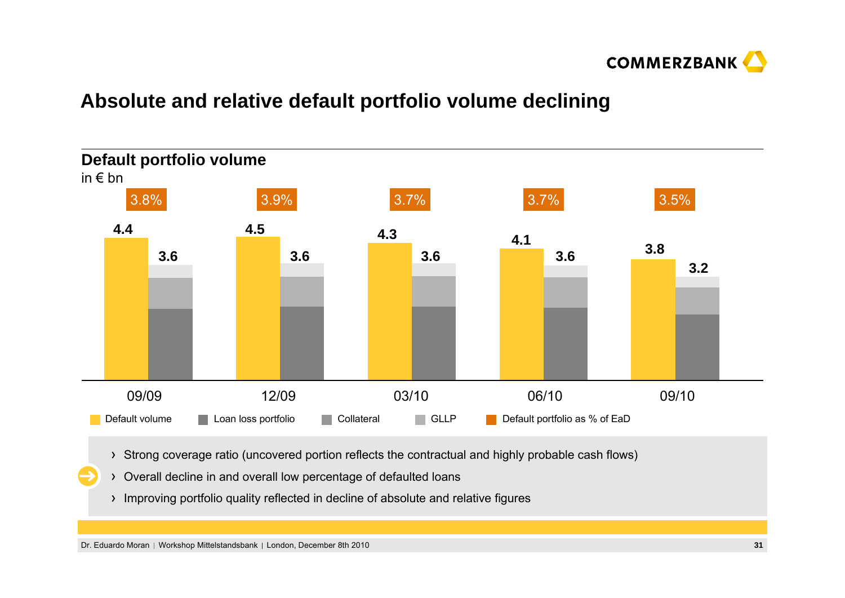

### **Absolute and relative default portfolio volume declining**



- Strong coverage ratio (uncovered portion reflects the contractual and highly probable cash flows)
- Overall decline in and overall low percentage of defaulted loans
	- Improving portfolio quality reflected in decline of absolute and relative figures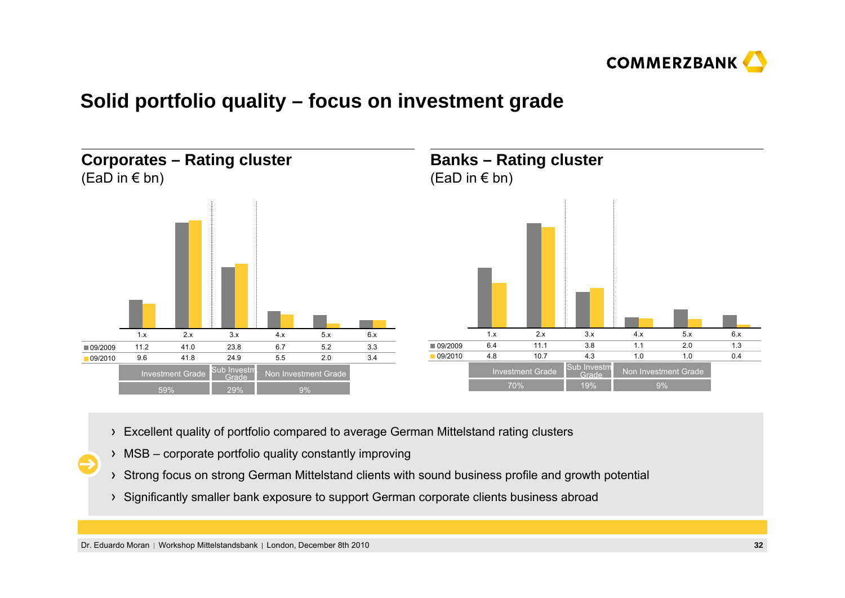

### **Solid portfolio quality – focus on investment grade**



- Excellent quality of portfolio compared to average German Mittelstand rating clusters
- MSB corporate portfolio quality constantly improving
- Strong focus on strong German Mittelstand clients with sound business profile and growth potential
- Significantly smaller bank exposure to support German corporate clients business abroad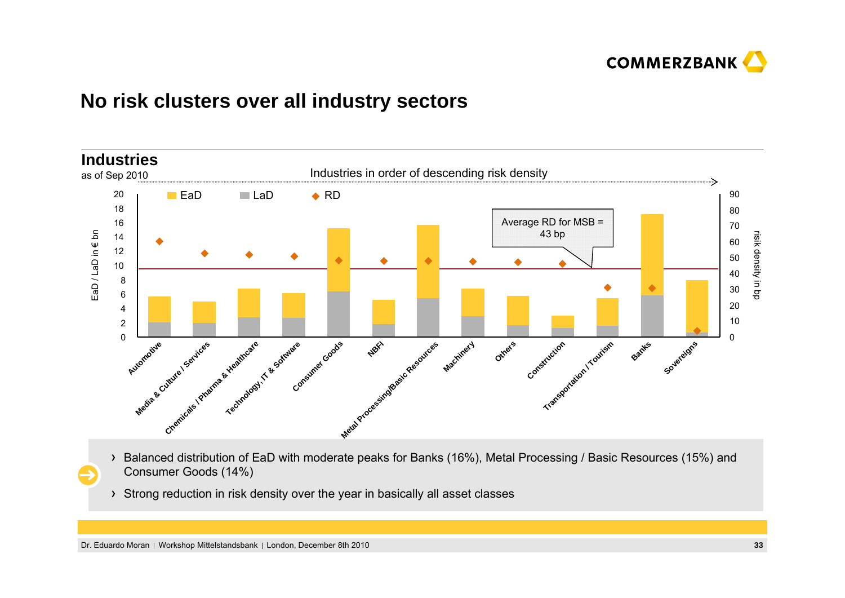

### **No risk clusters over all industry sectors**



- Balanced distribution of EaD with moderate peaks for Banks (16%), Metal Processing / Basic Resources (15%) and Consumer Goods (14%)
- Strong reduction in risk density over the year in basically all asset classes

Dr. Eduardo Moran | Workshop Mittelstandsbank | London, December 8th 2010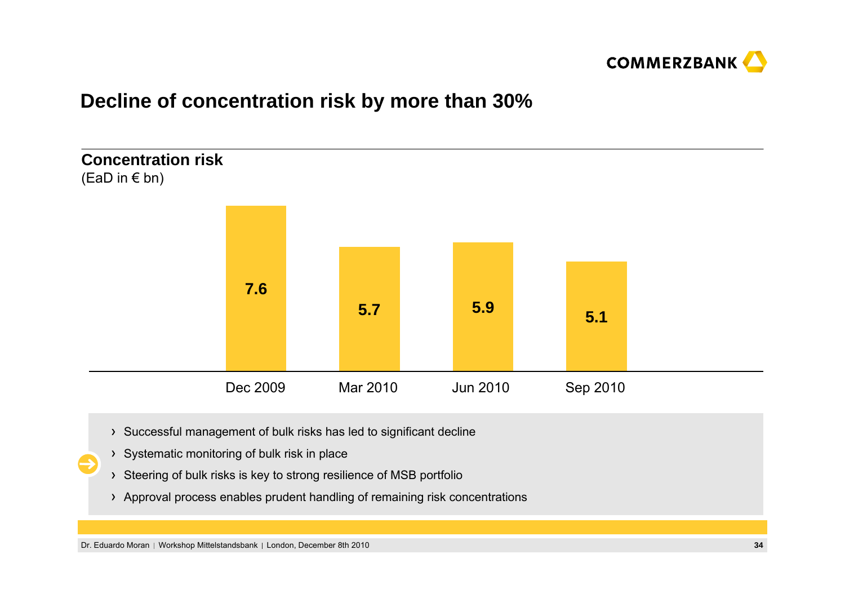

### **Decline of concentration risk by more than 30%**



- Successful management of bulk risks has led to significant decline
- > Systematic monitoring of bulk risk in place
- > Steering of bulk risks is key to strong resilience of MSB portfolio
- Approval process enables prudent handling of remaining risk concentrations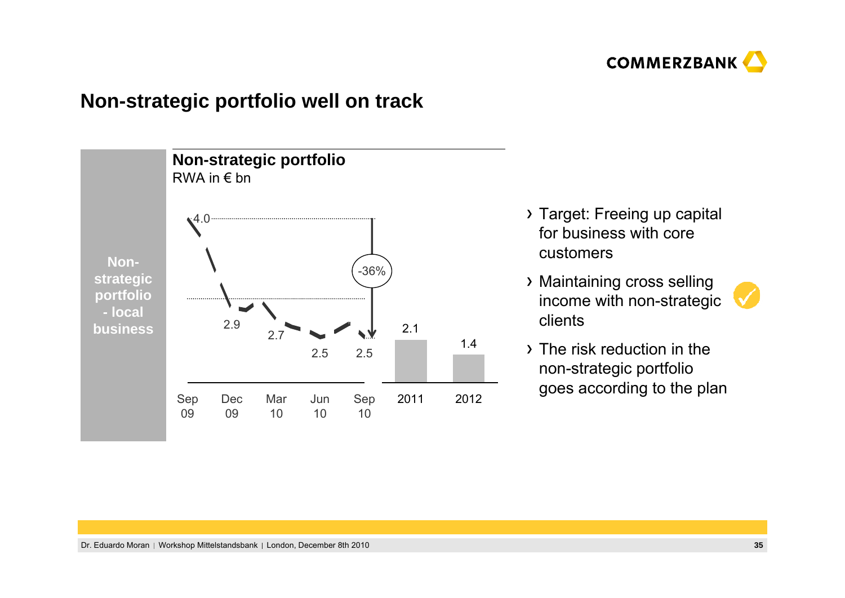

### **Non-strategic portfolio well on track**



- Target: Freeing up capital for business with core customers
- Maintaining cross selling income with non-strategic clients



The risk reduction in the non-strategic portfolio goes according to the plan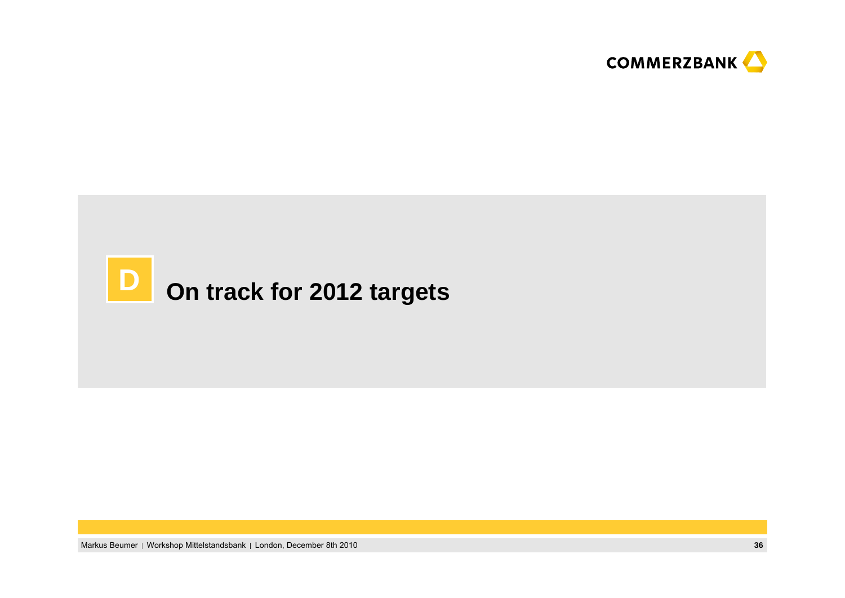



Markus Beumer | Workshop Mittelstandsbank | London, December 8th 2010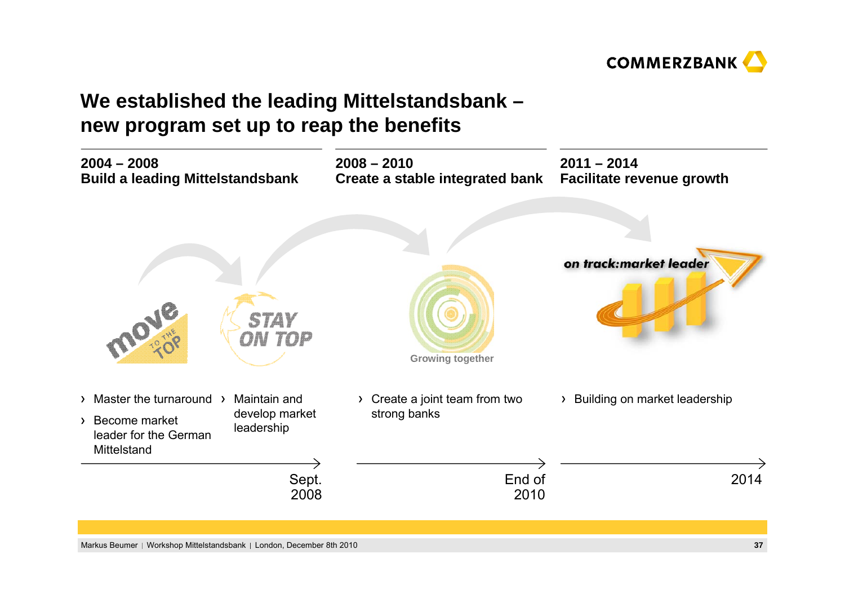

# **We established the leading Mittelstandsbank – new program set up to reap the benefits**

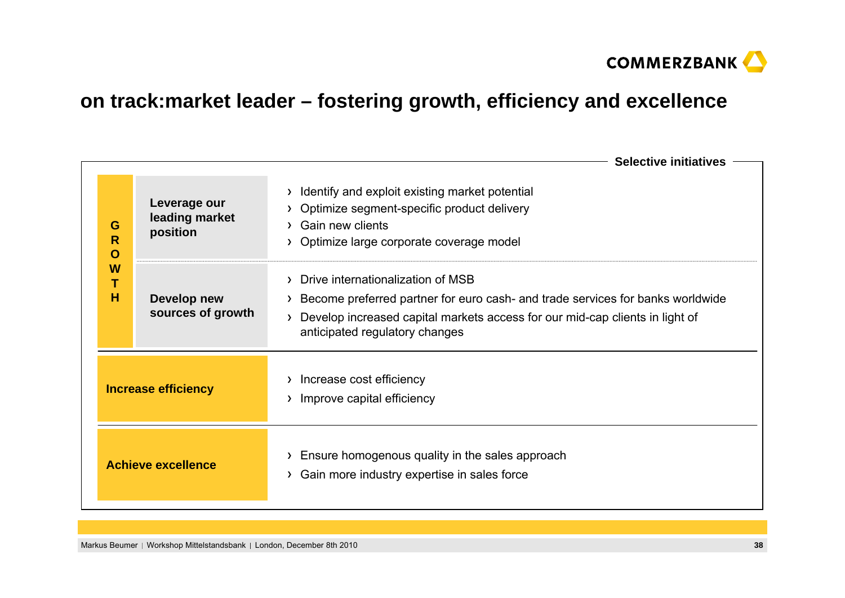

# **on track:market leader – fostering growth, efficiency and excellence**

|                            |                                            | <b>Selective initiatives</b>                                                                                                                                                                                                                           |  |  |
|----------------------------|--------------------------------------------|--------------------------------------------------------------------------------------------------------------------------------------------------------------------------------------------------------------------------------------------------------|--|--|
| G<br>R<br>O<br>W<br>н      | Leverage our<br>leading market<br>position | Identify and exploit existing market potential<br>$\sum_{i=1}^{n}$<br>Optimize segment-specific product delivery<br><b>Gain new clients</b><br>Optimize large corporate coverage model                                                                 |  |  |
|                            | Develop new<br>sources of growth           | Drive internationalization of MSB<br>$\mathcal{F}$<br>Become preferred partner for euro cash- and trade services for banks worldwide<br>Develop increased capital markets access for our mid-cap clients in light of<br>anticipated regulatory changes |  |  |
| <b>Increase efficiency</b> |                                            | Increase cost efficiency<br>Improve capital efficiency                                                                                                                                                                                                 |  |  |
| <b>Achieve excellence</b>  |                                            | Ensure homogenous quality in the sales approach<br>Gain more industry expertise in sales force<br>$\sum_{i=1}^{n}$                                                                                                                                     |  |  |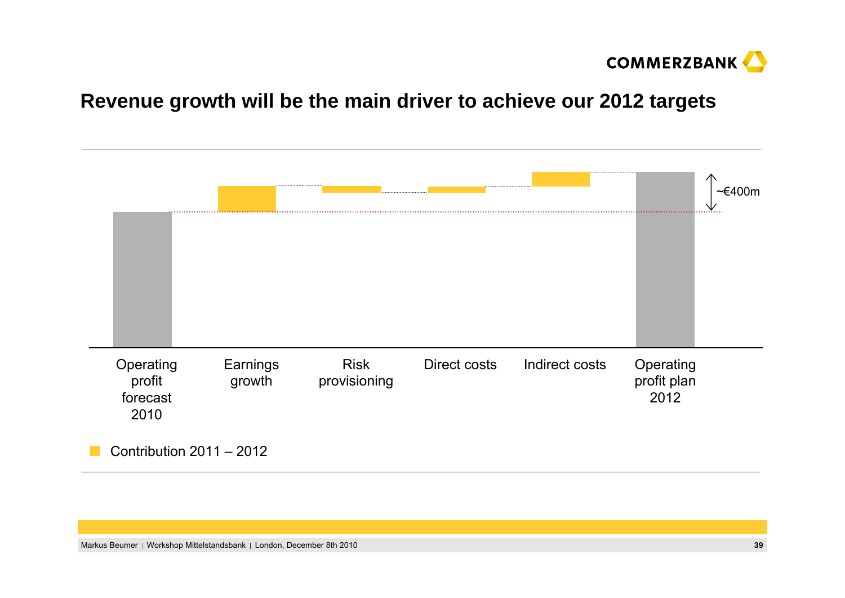

### **Revenue growth will be the main driver to achieve our 2012 targets**

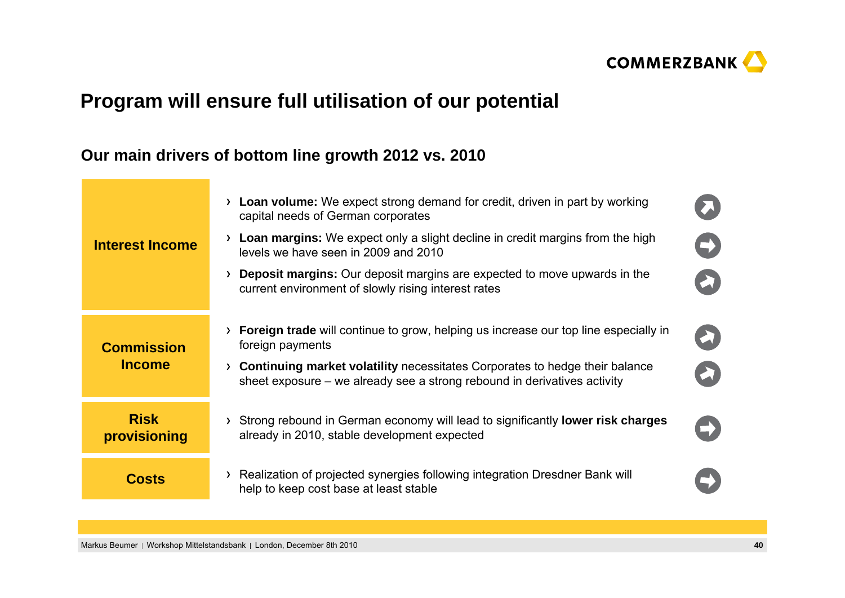

# **Program will ensure full utilisation of our potential**

### **Our main drivers of bottom line growth 2012 vs. 2010**

| <b>Interest Income</b>             | Loan volume: We expect strong demand for credit, driven in part by working<br>$\sum$<br>capital needs of German corporates<br>$\rightarrow$ Loan margins: We expect only a slight decline in credit margins from the high<br>levels we have seen in 2009 and 2010<br><b>Deposit margins:</b> Our deposit margins are expected to move upwards in the<br>≻<br>current environment of slowly rising interest rates | $\rightarrow$         |
|------------------------------------|------------------------------------------------------------------------------------------------------------------------------------------------------------------------------------------------------------------------------------------------------------------------------------------------------------------------------------------------------------------------------------------------------------------|-----------------------|
| <b>Commission</b><br><b>Income</b> | <b>Foreign trade</b> will continue to grow, helping us increase our top line especially in<br>foreign payments<br>$\rightarrow$ Continuing market volatility necessitates Corporates to hedge their balance<br>sheet exposure – we already see a strong rebound in derivatives activity                                                                                                                          | $\blacktriangleright$ |
| <b>Risk</b><br>provisioning        | Strong rebound in German economy will lead to significantly <b>lower risk charges</b><br>$\sum$<br>already in 2010, stable development expected                                                                                                                                                                                                                                                                  |                       |
| <b>Costs</b>                       | > Realization of projected synergies following integration Dresdner Bank will<br>help to keep cost base at least stable                                                                                                                                                                                                                                                                                          |                       |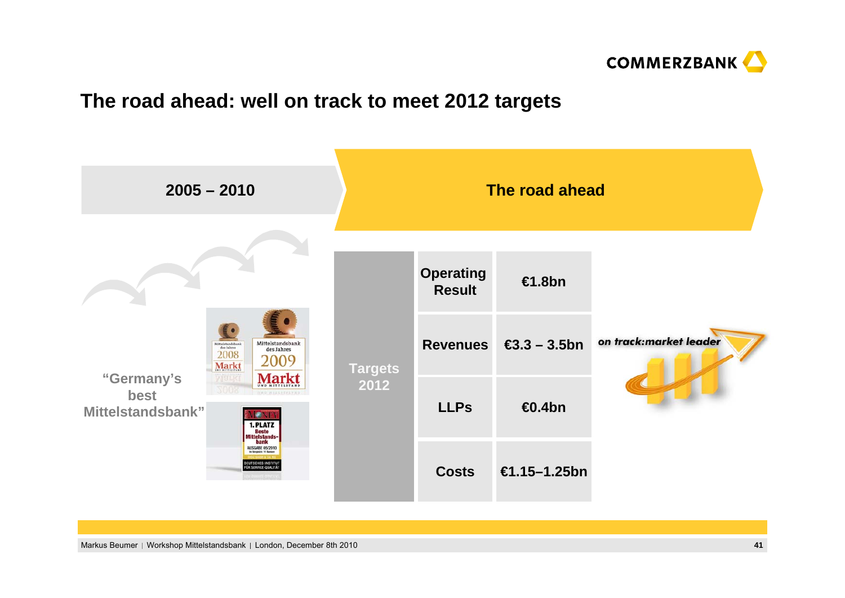

### **The road ahead: well on track to meet 2012 targets**

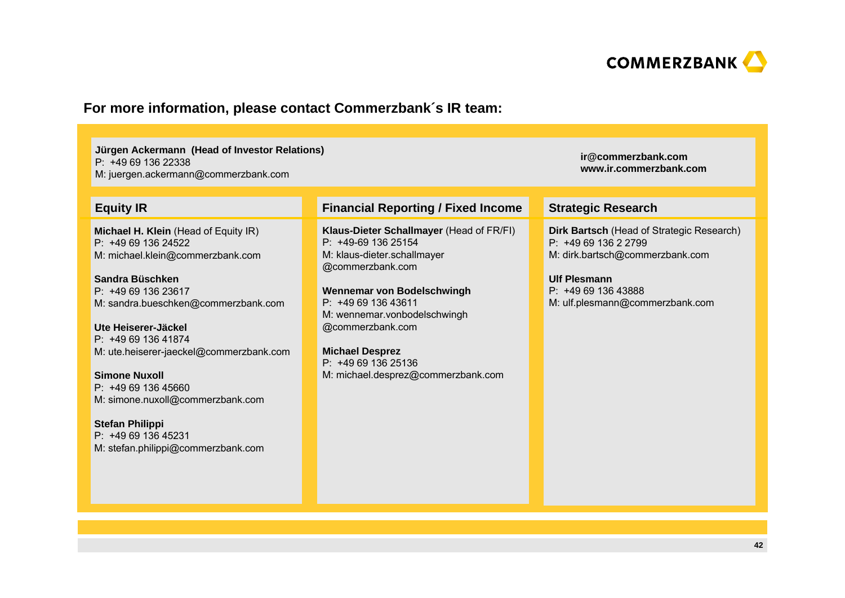

### **For more information, please contact Commerzbank´s IR team:**

| Jürgen Ackermann (Head of Investor Relations)<br>P: +49 69 136 22338<br>M: juergen.ackermann@commerzbank.com                                                                                                                                                                                                                                                                                                                                      | ir@commerzbank.com<br>www.ir.commerzbank.com                                                                                                                                                                                                                                                                      |                                                                                                                                                                                     |
|---------------------------------------------------------------------------------------------------------------------------------------------------------------------------------------------------------------------------------------------------------------------------------------------------------------------------------------------------------------------------------------------------------------------------------------------------|-------------------------------------------------------------------------------------------------------------------------------------------------------------------------------------------------------------------------------------------------------------------------------------------------------------------|-------------------------------------------------------------------------------------------------------------------------------------------------------------------------------------|
| <b>Equity IR</b>                                                                                                                                                                                                                                                                                                                                                                                                                                  | <b>Financial Reporting / Fixed Income</b>                                                                                                                                                                                                                                                                         | <b>Strategic Research</b>                                                                                                                                                           |
| Michael H. Klein (Head of Equity IR)<br>$P: +496913624522$<br>M: michael.klein@commerzbank.com<br>Sandra Büschken<br>P: +49 69 136 23617<br>M: sandra.bueschken@commerzbank.com<br>Ute Heiserer-Jäckel<br>$P: +496913641874$<br>M: ute.heiserer-jaeckel@commerzbank.com<br><b>Simone Nuxoll</b><br>P: +49 69 136 45660<br>M: simone.nuxoll@commerzbank.com<br><b>Stefan Philippi</b><br>P: +49 69 136 45231<br>M: stefan.philippi@commerzbank.com | Klaus-Dieter Schallmayer (Head of FR/FI)<br>P: +49-69 136 25154<br>M: klaus-dieter.schallmayer<br>@commerzbank.com<br>Wennemar von Bodelschwingh<br>$P: +496913643611$<br>M: wennemar.vonbodelschwingh<br>@commerzbank.com<br><b>Michael Desprez</b><br>P: +49 69 136 25136<br>M: michael.desprez@commerzbank.com | Dirk Bartsch (Head of Strategic Research)<br>$P: +496913622799$<br>M: dirk.bartsch@commerzbank.com<br><b>Ulf Plesmann</b><br>P: +49 69 136 43888<br>M: ulf.plesmann@commerzbank.com |